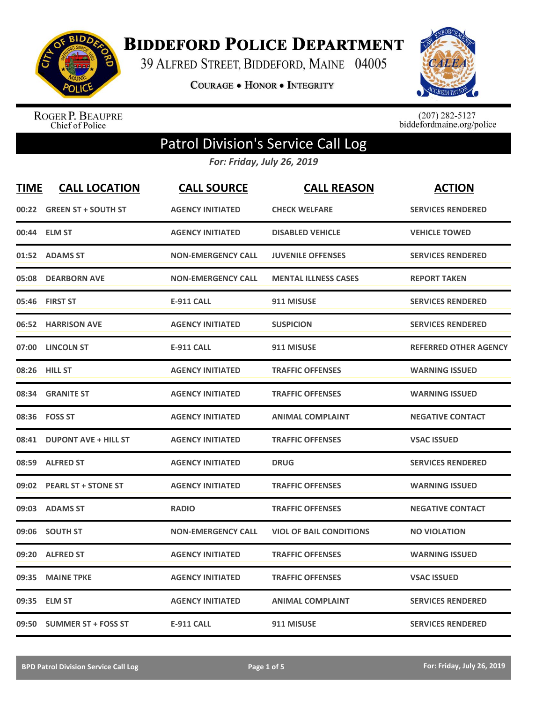

**BIDDEFORD POLICE DEPARTMENT** 

39 ALFRED STREET, BIDDEFORD, MAINE 04005

COURAGE . HONOR . INTEGRITY



ROGER P. BEAUPRE<br>Chief of Police

 $(207)$  282-5127<br>biddefordmaine.org/police

## Patrol Division's Service Call Log

*For: Friday, July 26, 2019*

| <b>TIME</b> | <b>CALL LOCATION</b>        | <b>CALL SOURCE</b>        | <b>CALL REASON</b>             | <b>ACTION</b>                |
|-------------|-----------------------------|---------------------------|--------------------------------|------------------------------|
| 00:22       | <b>GREEN ST + SOUTH ST</b>  | <b>AGENCY INITIATED</b>   | <b>CHECK WELFARE</b>           | <b>SERVICES RENDERED</b>     |
| 00:44       | <b>ELM ST</b>               | <b>AGENCY INITIATED</b>   | <b>DISABLED VEHICLE</b>        | <b>VEHICLE TOWED</b>         |
| 01:52       | <b>ADAMS ST</b>             | <b>NON-EMERGENCY CALL</b> | <b>JUVENILE OFFENSES</b>       | <b>SERVICES RENDERED</b>     |
| 05:08       | <b>DEARBORN AVE</b>         | <b>NON-EMERGENCY CALL</b> | <b>MENTAL ILLNESS CASES</b>    | <b>REPORT TAKEN</b>          |
| 05:46       | <b>FIRST ST</b>             | <b>E-911 CALL</b>         | 911 MISUSE                     | <b>SERVICES RENDERED</b>     |
| 06:52       | <b>HARRISON AVE</b>         | <b>AGENCY INITIATED</b>   | <b>SUSPICION</b>               | <b>SERVICES RENDERED</b>     |
| 07:00       | <b>LINCOLN ST</b>           | <b>E-911 CALL</b>         | 911 MISUSE                     | <b>REFERRED OTHER AGENCY</b> |
| 08:26       | <b>HILL ST</b>              | <b>AGENCY INITIATED</b>   | <b>TRAFFIC OFFENSES</b>        | <b>WARNING ISSUED</b>        |
| 08:34       | <b>GRANITE ST</b>           | <b>AGENCY INITIATED</b>   | <b>TRAFFIC OFFENSES</b>        | <b>WARNING ISSUED</b>        |
| 08:36       | <b>FOSS ST</b>              | <b>AGENCY INITIATED</b>   | <b>ANIMAL COMPLAINT</b>        | <b>NEGATIVE CONTACT</b>      |
| 08:41       | <b>DUPONT AVE + HILL ST</b> | <b>AGENCY INITIATED</b>   | <b>TRAFFIC OFFENSES</b>        | <b>VSAC ISSUED</b>           |
| 08:59       | <b>ALFRED ST</b>            | <b>AGENCY INITIATED</b>   | <b>DRUG</b>                    | <b>SERVICES RENDERED</b>     |
| 09:02       | <b>PEARL ST + STONE ST</b>  | <b>AGENCY INITIATED</b>   | <b>TRAFFIC OFFENSES</b>        | <b>WARNING ISSUED</b>        |
| 09:03       | <b>ADAMS ST</b>             | <b>RADIO</b>              | <b>TRAFFIC OFFENSES</b>        | <b>NEGATIVE CONTACT</b>      |
| 09:06       | <b>SOUTH ST</b>             | <b>NON-EMERGENCY CALL</b> | <b>VIOL OF BAIL CONDITIONS</b> | <b>NO VIOLATION</b>          |
| 09:20       | <b>ALFRED ST</b>            | <b>AGENCY INITIATED</b>   | <b>TRAFFIC OFFENSES</b>        | <b>WARNING ISSUED</b>        |
| 09:35       | <b>MAINE TPKE</b>           | <b>AGENCY INITIATED</b>   | <b>TRAFFIC OFFENSES</b>        | <b>VSAC ISSUED</b>           |
| 09:35       | <b>ELM ST</b>               | <b>AGENCY INITIATED</b>   | <b>ANIMAL COMPLAINT</b>        | <b>SERVICES RENDERED</b>     |
|             | 09:50 SUMMER ST + FOSS ST   | <b>E-911 CALL</b>         | 911 MISUSE                     | <b>SERVICES RENDERED</b>     |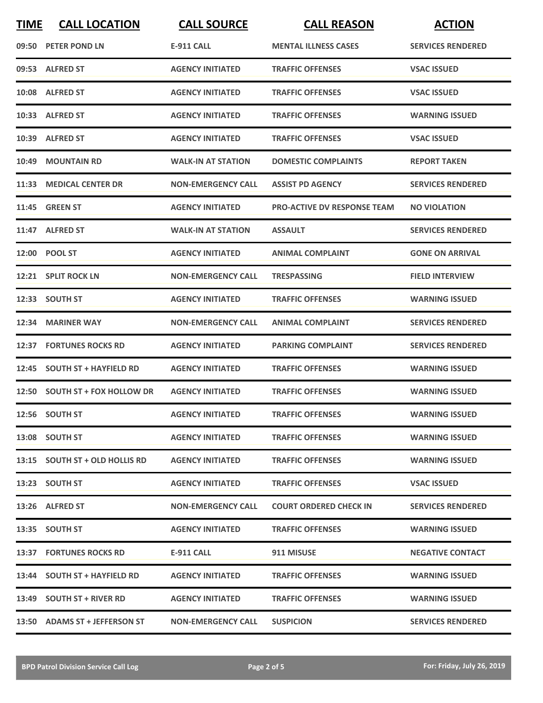| <b>TIME</b> | <b>CALL LOCATION</b>           | <b>CALL SOURCE</b>        | <b>CALL REASON</b>                 | <b>ACTION</b>            |
|-------------|--------------------------------|---------------------------|------------------------------------|--------------------------|
|             | 09:50 PETER POND LN            | <b>E-911 CALL</b>         | <b>MENTAL ILLNESS CASES</b>        | <b>SERVICES RENDERED</b> |
|             | 09:53 ALFRED ST                | <b>AGENCY INITIATED</b>   | <b>TRAFFIC OFFENSES</b>            | <b>VSAC ISSUED</b>       |
|             | 10:08 ALFRED ST                | <b>AGENCY INITIATED</b>   | <b>TRAFFIC OFFENSES</b>            | <b>VSAC ISSUED</b>       |
|             | 10:33 ALFRED ST                | <b>AGENCY INITIATED</b>   | <b>TRAFFIC OFFENSES</b>            | <b>WARNING ISSUED</b>    |
|             | 10:39 ALFRED ST                | <b>AGENCY INITIATED</b>   | <b>TRAFFIC OFFENSES</b>            | <b>VSAC ISSUED</b>       |
| 10:49       | <b>MOUNTAIN RD</b>             | <b>WALK-IN AT STATION</b> | <b>DOMESTIC COMPLAINTS</b>         | <b>REPORT TAKEN</b>      |
| 11:33       | <b>MEDICAL CENTER DR</b>       | <b>NON-EMERGENCY CALL</b> | <b>ASSIST PD AGENCY</b>            | <b>SERVICES RENDERED</b> |
|             | <b>11:45 GREEN ST</b>          | <b>AGENCY INITIATED</b>   | <b>PRO-ACTIVE DV RESPONSE TEAM</b> | <b>NO VIOLATION</b>      |
|             | 11:47 ALFRED ST                | <b>WALK-IN AT STATION</b> | <b>ASSAULT</b>                     | <b>SERVICES RENDERED</b> |
|             | 12:00 POOL ST                  | <b>AGENCY INITIATED</b>   | <b>ANIMAL COMPLAINT</b>            | <b>GONE ON ARRIVAL</b>   |
|             | 12:21 SPLIT ROCK LN            | <b>NON-EMERGENCY CALL</b> | <b>TRESPASSING</b>                 | <b>FIELD INTERVIEW</b>   |
|             | 12:33 SOUTH ST                 | <b>AGENCY INITIATED</b>   | <b>TRAFFIC OFFENSES</b>            | <b>WARNING ISSUED</b>    |
| 12:34       | <b>MARINER WAY</b>             | <b>NON-EMERGENCY CALL</b> | <b>ANIMAL COMPLAINT</b>            | <b>SERVICES RENDERED</b> |
|             | 12:37 FORTUNES ROCKS RD        | <b>AGENCY INITIATED</b>   | <b>PARKING COMPLAINT</b>           | <b>SERVICES RENDERED</b> |
|             | 12:45 SOUTH ST + HAYFIELD RD   | <b>AGENCY INITIATED</b>   | <b>TRAFFIC OFFENSES</b>            | <b>WARNING ISSUED</b>    |
|             | 12:50 SOUTH ST + FOX HOLLOW DR | <b>AGENCY INITIATED</b>   | <b>TRAFFIC OFFENSES</b>            | <b>WARNING ISSUED</b>    |
|             | 12:56 SOUTH ST                 | <b>AGENCY INITIATED</b>   | <b>TRAFFIC OFFENSES</b>            | <b>WARNING ISSUED</b>    |
|             | 13:08 SOUTH ST                 | <b>AGENCY INITIATED</b>   | <b>TRAFFIC OFFENSES</b>            | <b>WARNING ISSUED</b>    |
|             | 13:15 SOUTH ST + OLD HOLLIS RD | <b>AGENCY INITIATED</b>   | <b>TRAFFIC OFFENSES</b>            | <b>WARNING ISSUED</b>    |
|             | 13:23 SOUTH ST                 | <b>AGENCY INITIATED</b>   | <b>TRAFFIC OFFENSES</b>            | <b>VSAC ISSUED</b>       |
|             | 13:26 ALFRED ST                | <b>NON-EMERGENCY CALL</b> | <b>COURT ORDERED CHECK IN</b>      | <b>SERVICES RENDERED</b> |
|             | 13:35 SOUTH ST                 | <b>AGENCY INITIATED</b>   | <b>TRAFFIC OFFENSES</b>            | <b>WARNING ISSUED</b>    |
|             | 13:37 FORTUNES ROCKS RD        | E-911 CALL                | 911 MISUSE                         | <b>NEGATIVE CONTACT</b>  |
|             | 13:44 SOUTH ST + HAYFIELD RD   | <b>AGENCY INITIATED</b>   | <b>TRAFFIC OFFENSES</b>            | <b>WARNING ISSUED</b>    |
|             | 13:49 SOUTH ST + RIVER RD      | <b>AGENCY INITIATED</b>   | <b>TRAFFIC OFFENSES</b>            | <b>WARNING ISSUED</b>    |
|             | 13:50 ADAMS ST + JEFFERSON ST  | <b>NON-EMERGENCY CALL</b> | <b>SUSPICION</b>                   | <b>SERVICES RENDERED</b> |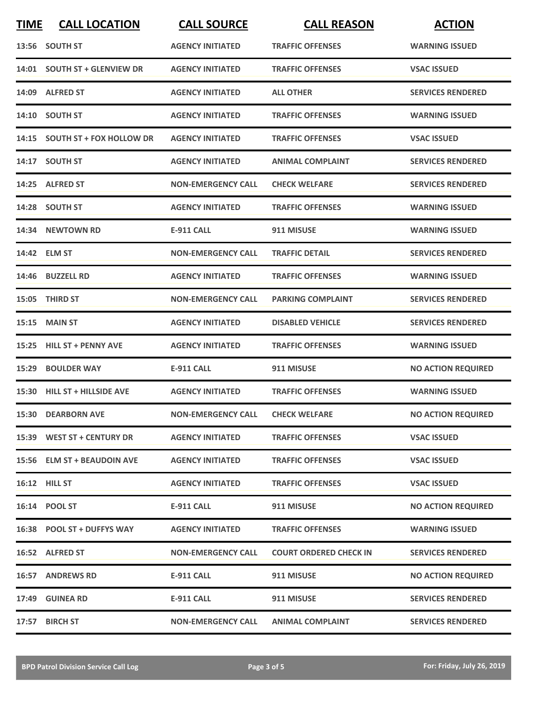| <b>TIME</b> | <b>CALL LOCATION</b>           | <b>CALL SOURCE</b>        | <b>CALL REASON</b>            | <b>ACTION</b>             |
|-------------|--------------------------------|---------------------------|-------------------------------|---------------------------|
|             | 13:56 SOUTH ST                 | <b>AGENCY INITIATED</b>   | <b>TRAFFIC OFFENSES</b>       | <b>WARNING ISSUED</b>     |
|             | 14:01 SOUTH ST + GLENVIEW DR   | <b>AGENCY INITIATED</b>   | <b>TRAFFIC OFFENSES</b>       | <b>VSAC ISSUED</b>        |
|             | 14:09 ALFRED ST                | <b>AGENCY INITIATED</b>   | <b>ALL OTHER</b>              | <b>SERVICES RENDERED</b>  |
|             | 14:10 SOUTH ST                 | <b>AGENCY INITIATED</b>   | <b>TRAFFIC OFFENSES</b>       | <b>WARNING ISSUED</b>     |
|             | 14:15 SOUTH ST + FOX HOLLOW DR | <b>AGENCY INITIATED</b>   | <b>TRAFFIC OFFENSES</b>       | <b>VSAC ISSUED</b>        |
|             | 14:17 SOUTH ST                 | <b>AGENCY INITIATED</b>   | <b>ANIMAL COMPLAINT</b>       | <b>SERVICES RENDERED</b>  |
| 14:25       | <b>ALFRED ST</b>               | <b>NON-EMERGENCY CALL</b> | <b>CHECK WELFARE</b>          | <b>SERVICES RENDERED</b>  |
|             | 14:28 SOUTH ST                 | <b>AGENCY INITIATED</b>   | <b>TRAFFIC OFFENSES</b>       | <b>WARNING ISSUED</b>     |
|             | 14:34 NEWTOWN RD               | E-911 CALL                | 911 MISUSE                    | <b>WARNING ISSUED</b>     |
|             | 14:42 ELM ST                   | <b>NON-EMERGENCY CALL</b> | <b>TRAFFIC DETAIL</b>         | <b>SERVICES RENDERED</b>  |
|             | 14:46 BUZZELL RD               | <b>AGENCY INITIATED</b>   | <b>TRAFFIC OFFENSES</b>       | <b>WARNING ISSUED</b>     |
| 15:05       | <b>THIRD ST</b>                | <b>NON-EMERGENCY CALL</b> | <b>PARKING COMPLAINT</b>      | <b>SERVICES RENDERED</b>  |
| 15:15       | <b>MAIN ST</b>                 | <b>AGENCY INITIATED</b>   | <b>DISABLED VEHICLE</b>       | <b>SERVICES RENDERED</b>  |
| 15:25       | <b>HILL ST + PENNY AVE</b>     | <b>AGENCY INITIATED</b>   | <b>TRAFFIC OFFENSES</b>       | <b>WARNING ISSUED</b>     |
| 15:29       | <b>BOULDER WAY</b>             | E-911 CALL                | 911 MISUSE                    | <b>NO ACTION REQUIRED</b> |
|             | 15:30 HILL ST + HILLSIDE AVE   | <b>AGENCY INITIATED</b>   | <b>TRAFFIC OFFENSES</b>       | <b>WARNING ISSUED</b>     |
|             | <b>15:30 DEARBORN AVE</b>      | <b>NON-EMERGENCY CALL</b> | <b>CHECK WELFARE</b>          | <b>NO ACTION REQUIRED</b> |
|             | 15:39 WEST ST + CENTURY DR     | <b>AGENCY INITIATED</b>   | <b>TRAFFIC OFFENSES</b>       | <b>VSAC ISSUED</b>        |
|             | 15:56 ELM ST + BEAUDOIN AVE    | <b>AGENCY INITIATED</b>   | <b>TRAFFIC OFFENSES</b>       | <b>VSAC ISSUED</b>        |
|             | 16:12 HILL ST                  | <b>AGENCY INITIATED</b>   | <b>TRAFFIC OFFENSES</b>       | <b>VSAC ISSUED</b>        |
|             | 16:14 POOL ST                  | E-911 CALL                | 911 MISUSE                    | <b>NO ACTION REQUIRED</b> |
|             | 16:38 POOL ST + DUFFYS WAY     | <b>AGENCY INITIATED</b>   | <b>TRAFFIC OFFENSES</b>       | <b>WARNING ISSUED</b>     |
|             | 16:52 ALFRED ST                | <b>NON-EMERGENCY CALL</b> | <b>COURT ORDERED CHECK IN</b> | <b>SERVICES RENDERED</b>  |
|             | <b>16:57 ANDREWS RD</b>        | <b>E-911 CALL</b>         | 911 MISUSE                    | <b>NO ACTION REQUIRED</b> |
|             | 17:49 GUINEA RD                | <b>E-911 CALL</b>         | 911 MISUSE                    | <b>SERVICES RENDERED</b>  |
|             | 17:57 BIRCH ST                 | <b>NON-EMERGENCY CALL</b> | <b>ANIMAL COMPLAINT</b>       | <b>SERVICES RENDERED</b>  |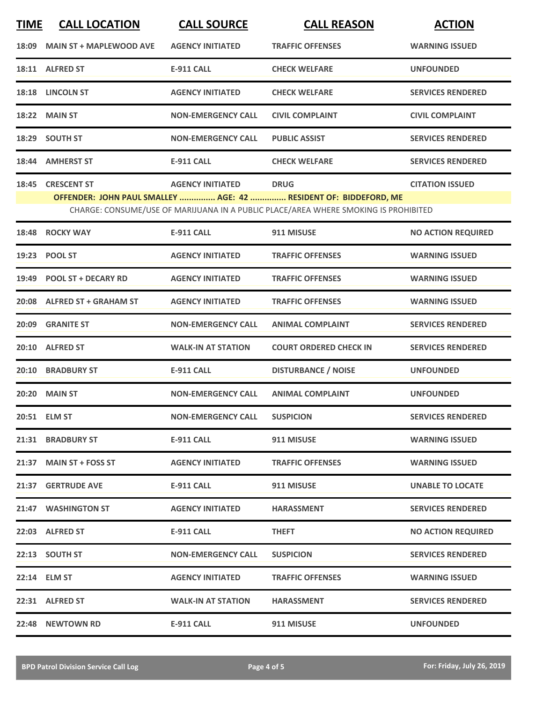| <b>TIME</b> | <b>CALL LOCATION</b>           | <b>CALL SOURCE</b>        | <b>CALL REASON</b>                                                                  | <b>ACTION</b>             |
|-------------|--------------------------------|---------------------------|-------------------------------------------------------------------------------------|---------------------------|
| 18:09       | <b>MAIN ST + MAPLEWOOD AVE</b> | <b>AGENCY INITIATED</b>   | <b>TRAFFIC OFFENSES</b>                                                             | <b>WARNING ISSUED</b>     |
|             | 18:11 ALFRED ST                | <b>E-911 CALL</b>         | <b>CHECK WELFARE</b>                                                                | <b>UNFOUNDED</b>          |
| 18:18       | <b>LINCOLN ST</b>              | <b>AGENCY INITIATED</b>   | <b>CHECK WELFARE</b>                                                                | <b>SERVICES RENDERED</b>  |
| 18:22       | <b>MAIN ST</b>                 | <b>NON-EMERGENCY CALL</b> | <b>CIVIL COMPLAINT</b>                                                              | <b>CIVIL COMPLAINT</b>    |
|             | 18:29 SOUTH ST                 | <b>NON-EMERGENCY CALL</b> | <b>PUBLIC ASSIST</b>                                                                | <b>SERVICES RENDERED</b>  |
| 18:44       | <b>AMHERST ST</b>              | <b>E-911 CALL</b>         | <b>CHECK WELFARE</b>                                                                | <b>SERVICES RENDERED</b>  |
|             | 18:45 CRESCENT ST              | <b>AGENCY INITIATED</b>   | <b>DRUG</b>                                                                         | <b>CITATION ISSUED</b>    |
|             |                                |                           | OFFENDER: JOHN PAUL SMALLEY  AGE: 42  RESIDENT OF: BIDDEFORD, ME                    |                           |
|             |                                |                           | CHARGE: CONSUME/USE OF MARIJUANA IN A PUBLIC PLACE/AREA WHERE SMOKING IS PROHIBITED |                           |
| 18:48       | <b>ROCKY WAY</b>               | <b>E-911 CALL</b>         | 911 MISUSE                                                                          | <b>NO ACTION REQUIRED</b> |
|             | 19:23 POOL ST                  | <b>AGENCY INITIATED</b>   | <b>TRAFFIC OFFENSES</b>                                                             | <b>WARNING ISSUED</b>     |
| 19:49       | <b>POOL ST + DECARY RD</b>     | <b>AGENCY INITIATED</b>   | <b>TRAFFIC OFFENSES</b>                                                             | <b>WARNING ISSUED</b>     |
|             | 20:08 ALFRED ST + GRAHAM ST    | <b>AGENCY INITIATED</b>   | <b>TRAFFIC OFFENSES</b>                                                             | <b>WARNING ISSUED</b>     |
| 20:09       | <b>GRANITE ST</b>              | <b>NON-EMERGENCY CALL</b> | <b>ANIMAL COMPLAINT</b>                                                             | <b>SERVICES RENDERED</b>  |
| 20:10       | <b>ALFRED ST</b>               | <b>WALK-IN AT STATION</b> | <b>COURT ORDERED CHECK IN</b>                                                       | <b>SERVICES RENDERED</b>  |
| 20:10       | <b>BRADBURY ST</b>             | <b>E-911 CALL</b>         | <b>DISTURBANCE / NOISE</b>                                                          | <b>UNFOUNDED</b>          |
| 20:20       | <b>MAIN ST</b>                 | <b>NON-EMERGENCY CALL</b> | <b>ANIMAL COMPLAINT</b>                                                             | <b>UNFOUNDED</b>          |
|             | 20:51 ELM ST                   | <b>NON-EMERGENCY CALL</b> | <b>SUSPICION</b>                                                                    | <b>SERVICES RENDERED</b>  |
|             | 21:31 BRADBURY ST              | <b>E-911 CALL</b>         | 911 MISUSE                                                                          | <b>WARNING ISSUED</b>     |
|             | 21:37 MAIN ST + FOSS ST        | <b>AGENCY INITIATED</b>   | <b>TRAFFIC OFFENSES</b>                                                             | <b>WARNING ISSUED</b>     |
|             | 21:37 GERTRUDE AVE             | E-911 CALL                | 911 MISUSE                                                                          | <b>UNABLE TO LOCATE</b>   |
|             | 21:47 WASHINGTON ST            | <b>AGENCY INITIATED</b>   | <b>HARASSMENT</b>                                                                   | <b>SERVICES RENDERED</b>  |
|             | 22:03 ALFRED ST                | E-911 CALL                | <b>THEFT</b>                                                                        | <b>NO ACTION REQUIRED</b> |
|             | 22:13 SOUTH ST                 | <b>NON-EMERGENCY CALL</b> | <b>SUSPICION</b>                                                                    | <b>SERVICES RENDERED</b>  |
|             | 22:14 ELM ST                   | <b>AGENCY INITIATED</b>   | <b>TRAFFIC OFFENSES</b>                                                             | <b>WARNING ISSUED</b>     |
|             | 22:31 ALFRED ST                | <b>WALK-IN AT STATION</b> | <b>HARASSMENT</b>                                                                   | <b>SERVICES RENDERED</b>  |
|             | 22:48 NEWTOWN RD               | E-911 CALL                | 911 MISUSE                                                                          | <b>UNFOUNDED</b>          |